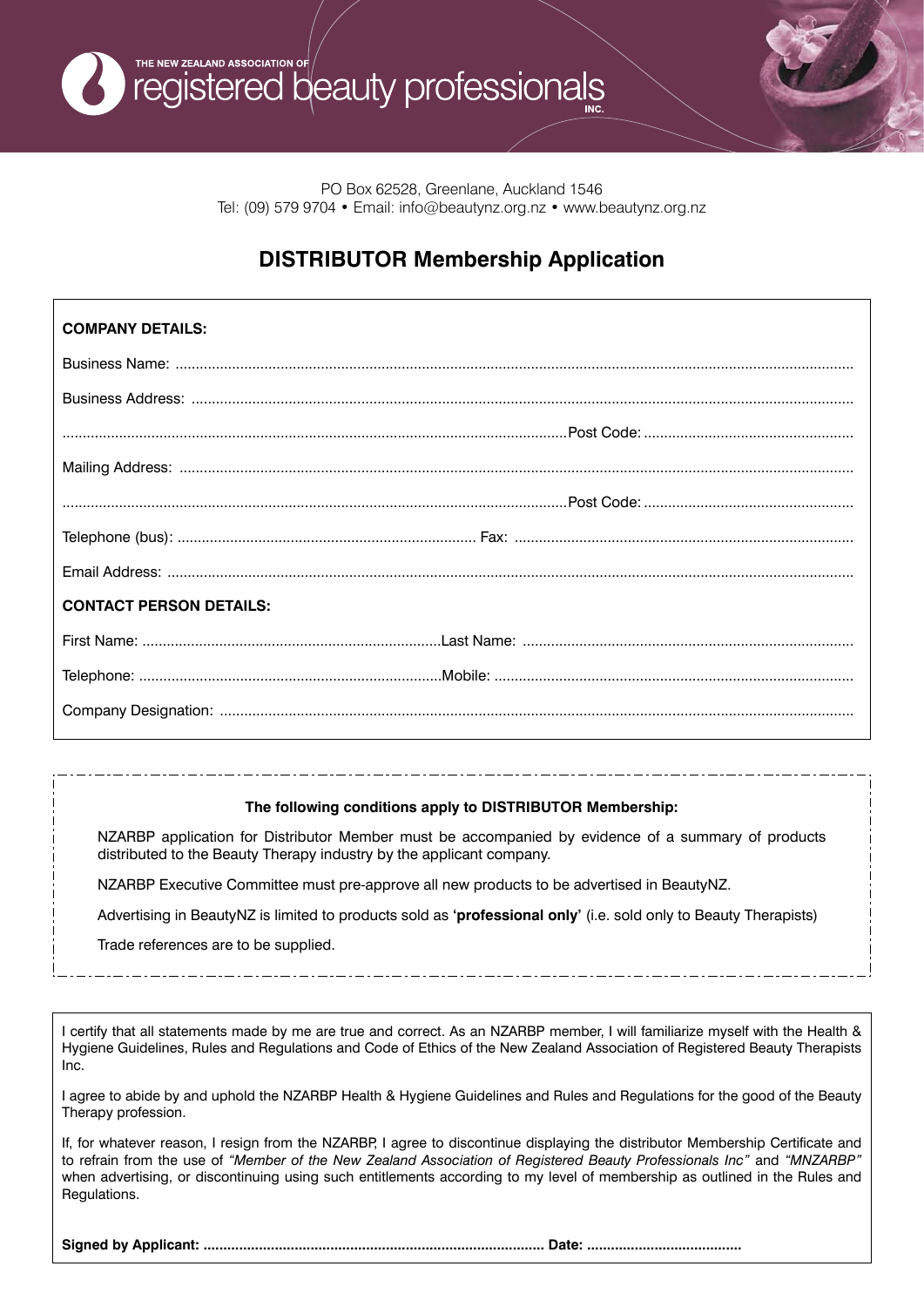

PO Box 62528, Greenlane, Auckland 1546 Tel: (09) 579 9704 • Email: info@beautynz.org.nz • www.beautynz.org.nz

## **DISTRIBUTOR Membership Application**

| <b>COMPANY DETAILS:</b>        |  |
|--------------------------------|--|
|                                |  |
|                                |  |
|                                |  |
|                                |  |
|                                |  |
|                                |  |
|                                |  |
| <b>CONTACT PERSON DETAILS:</b> |  |
|                                |  |
|                                |  |
|                                |  |

## **The following conditions apply to DISTRIBUTOR Membership:**

NZARBP application for Distributor Member must be accompanied by evidence of a summary of products distributed to the Beauty Therapy industry by the applicant company.

NZARBP Executive Committee must pre-approve all new products to be advertised in BeautyNZ.

Advertising in BeautyNZ is limited to products sold as **'professional only'** (i.e. sold only to Beauty Therapists)

Trade references are to be supplied.

I certify that all statements made by me are true and correct. As an NZARBP member, I will familiarize myself with the Health & Hygiene Guidelines, Rules and Regulations and Code of Ethics of the New Zealand Association of Registered Beauty Therapists Inc.

I agree to abide by and uphold the NZARBP Health & Hygiene Guidelines and Rules and Regulations for the good of the Beauty Therapy profession.

If, for whatever reason, I resign from the NZARBP, I agree to discontinue displaying the distributor Membership Certificate and to refrain from the use of *"Member of the New Zealand Association of Registered Beauty Professionals Inc"* and *"MNZARBP"* when advertising, or discontinuing using such entitlements according to my level of membership as outlined in the Rules and Regulations.

**Signed by Applicant: ...................................................................................... Date: .......................................**